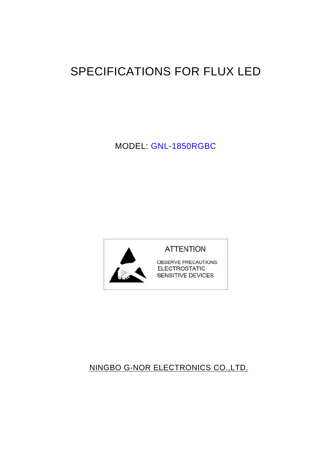# SPECIFICATIONS FOR FLUX LED

MODEL: GNL-1850RGBC



# NINGBO G-NOR ELECTRONICS CO.,LTD.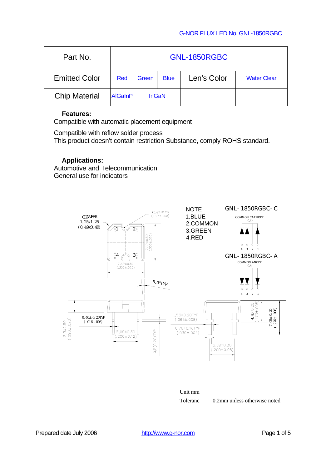### G-NOR FLUX LED No. GNL-1850RGBC

| Part No.             | <b>GNL-1850RGBC</b> |              |             |             |                    |
|----------------------|---------------------|--------------|-------------|-------------|--------------------|
| <b>Emitted Color</b> | Red                 | Green        | <b>Blue</b> | Len's Color | <b>Water Clear</b> |
| <b>Chip Material</b> | <b>AlGaInP</b>      | <b>InGaN</b> |             |             |                    |

### **Features:**

Compatible with automatic placement equipment

Compatible with reflow solder process This product doesn't contain restriction Substance, comply ROHS standard.

### **Applications:**

Automotive and Telecommunication General use for indicators





Toleranc 0.2mm unless otherwise noted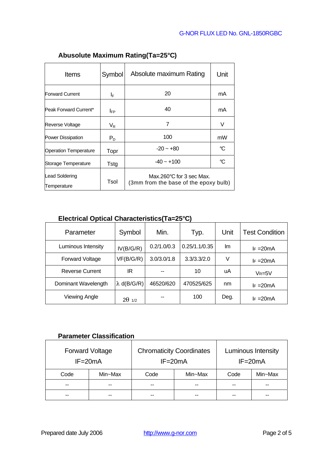| <b>Items</b>                  | Symbol  | Absolute maximum Rating                                           | Unit |
|-------------------------------|---------|-------------------------------------------------------------------|------|
|                               |         |                                                                   |      |
| <b>Forward Current</b>        | ΙF      | 20                                                                | mA   |
| Peak Forward Current*         | IFP     | 40                                                                | mA   |
| Reverse Voltage               | $V_{R}$ | 7                                                                 | V    |
| Power Dissipation             | $P_D$   | 100                                                               | mW   |
| <b>Operation Temperature</b>  | Topr    | $-20 - +80$                                                       | °C   |
| Storage Temperature           | Tstg    | $-40 - +100$                                                      | °C   |
| Lead Soldering<br>Temperature | Tsol    | Max.260°C for 3 sec Max.<br>(3mm from the base of the epoxy bulb) |      |

# **Abusolute Maximum Rating(Ta=25°C)**

# **Electrical Optical Characteristics(Ta=25°C)**

| Parameter              | Symbol    | Min.        | Typ.          | Unit | <b>Test Condition</b> |
|------------------------|-----------|-------------|---------------|------|-----------------------|
| Luminous Intensity     | IV(B/G/R) | 0.2/1.0/0.3 | 0.25/1.1/0.35 | lm.  | $F = 20mA$            |
| Forward Voltage        | VF(B/G/R) | 3.0/3.0/1.8 | 3.3/3.3/2.0   | V    | $F = 20mA$            |
| <b>Reverse Current</b> | ΙR        |             | 10            | uA   | $V_R = 5V$            |
| Dominant Wavelength    | d(B/G/R)  | 46520/620   | 470525/625    | nm   | $F = 20mA$            |
| <b>Viewing Angle</b>   | 1/2       | --          | 100           | Deg. | $F = 20mA$            |

### **Parameter Classification**

| <b>Forward Voltage</b><br>$IF = 20mA$ |         | <b>Chromaticity Coordinates</b><br>$IF = 20mA$ |         | Luminous Intensity<br>$IF = 20mA$ |               |  |
|---------------------------------------|---------|------------------------------------------------|---------|-----------------------------------|---------------|--|
| Code                                  | Min~Max | Code                                           | Min~Max | Code                              | Min~Max       |  |
| $- -$                                 | --      | $- -$                                          | --      | --                                | $\sim$ $\sim$ |  |
| --                                    |         |                                                |         | --                                | --            |  |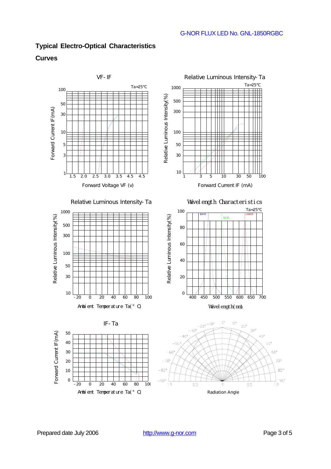# **Typical Electro-Optical Characteristics**

### **Curves**



Antoi ent Temperature Ta(° C)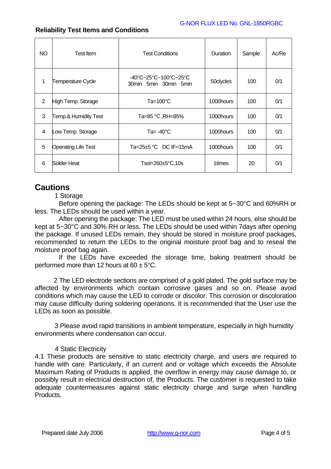### G-NOR FLUX LED No. GNL-1850RGBC

| NO.            | <b>Test Item</b>           | <b>Test Conditions</b>                         | Duration  | Sample | Ac/Re |
|----------------|----------------------------|------------------------------------------------|-----------|--------|-------|
| 1              | <b>Temperature Cycle</b>   | -40°C~25°C~100°C~25°C<br>30min 5min 30min 5min | 50clycles | 100    | 0/1   |
| $\overline{2}$ | High Temp. Storage         | Ta=100°C                                       | 1000hours | 100    | 0/1   |
| 3              | Temp.& Humidity Test       | Ta=85 °C, RH=85%                               | 1000hours | 100    | 0/1   |
| 4              | Low Temp. Storage          | Ta= $-40^{\circ}$ C                            | 1000hours | 100    | 0/1   |
| 5              | <b>Operating Life Test</b> | Ta=25 $\pm$ 5 °C DC IF=15mA                    | 1000hours | 100    | 0/1   |
| 6              | Solder Heat                | Tsol=260±5°C,10s                               | 1times    | 20     | 0/1   |

### **Reliability Test Items and Conditions**

# **Cautions**

1 Storage

Before opening the package: The LEDs should be kept at 5~30°C and 60%RH or less. The LEDs should be used within a year.

After opening the package: The LED must be used within 24 hours, else should be kept at 5~30°C and 30% RH or less. The LEDs should be used within 7days after opening the package. If unused LEDs remain, they should be stored in moisture proof packages, recommended to return the LEDs to the original moisture proof bag and to reseal the moisture proof bag again.

If the LEDs have exceeded the storage time, baking treatment should be performed more than 12 hours at  $60 \pm 5^{\circ}$ C.

2 The LED electrode sections are comprised of a gold plated. The gold surface may be affected by environments which contain corrosive gases and so on. Please avoid conditions which may cause the LED to corrode or discolor. This corrosion or discoloration may cause difficulty during soldering operations. It is recommended that the User use the LEDs as soon as possible.

3 Please avoid rapid transitions in ambient temperature, especially in high humidity environments where condensation can occur.

### 4 Static Electricity

4.1 These products are sensitive to static electricity charge, and users are required to handle with care. Particularly, if an current and or voltage which exceeds the Absolute Maximum Rating of Products is applied, the overflow in energy may cause damage to, or possibly result in electrical destruction of, the Products. The customer is requested to take adequate countermeasures against static electricity charge and surge when handling **Products**